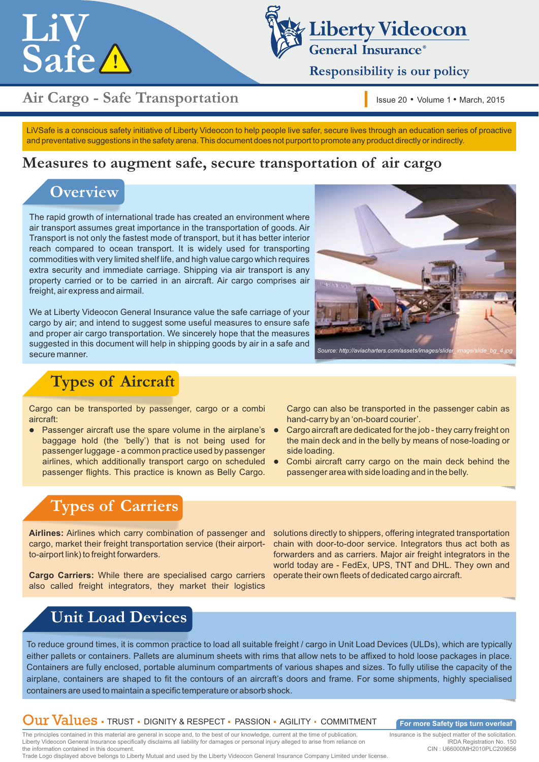



**Responsibility is our policy** 

## **Air Cargo - Safe Transportation**

Issue 20 • Volume 1 • March, 2015

LiVSafe is a conscious safety initiative of Liberty Videocon to help people live safer, secure lives through an education series of proactive and preventative suggestions in the safety arena. This document does not purport to promote any product directly or indirectly.

### **Measures to augment safe, secure transportation of air cargo**

## **Overview**

The rapid growth of international trade has created an environment where air transport assumes great importance in the transportation of goods. Air Transport is not only the fastest mode of transport, but it has better interior reach compared to ocean transport. It is widely used for transporting commodities with very limited shelf life, and high value cargo which requires extra security and immediate carriage. Shipping via air transport is any property carried or to be carried in an aircraft. Air cargo comprises air freight, air express and airmail.

We at Liberty Videocon General Insurance value the safe carriage of your cargo by air; and intend to suggest some useful measures to ensure safe and proper air cargo transportation. We sincerely hope that the measures suggested in this document will help in shipping goods by air in a safe and secure manner.<br>Secure manner.

## **Types of Aircraft**

Cargo can be transported by passenger, cargo or a combi aircraft:

 Passenger aircraft use the spare volume in the airplane's baggage hold (the 'belly') that is not being used for passenger luggage - a common practice used by passenger airlines, which additionally transport cargo on scheduled passenger flights. This practice is known as Belly Cargo.

Cargo can also be transported in the passenger cabin as hand-carry by an 'on-board courier'.

- Cargo aircraft are dedicated for the job they carry freight on the main deck and in the belly by means of nose-loading or side loading.
- Combi aircraft carry cargo on the main deck behind the passenger area with side loading and in the belly.

## **Types of Carriers**

**Airlines:** Airlines which carry combination of passenger and cargo, market their freight transportation service (their airportto-airport link) to freight forwarders.

**Cargo Carriers:** While there are specialised cargo carriers also called freight integrators, they market their logistics

solutions directly to shippers, offering integrated transportation chain with door-to-door service. Integrators thus act both as forwarders and as carriers. Major air freight integrators in the world today are - FedEx, UPS, TNT and DHL. They own and operate their own fleets of dedicated cargo aircraft.

## **Unit Load Devices**

To reduce ground times, it is common practice to load all suitable freight / cargo in Unit Load Devices (ULDs), which are typically either pallets or containers. Pallets are aluminum sheets with rims that allow nets to be affixed to hold loose packages in place. Containers are fully enclosed, portable aluminum compartments of various shapes and sizes. To fully utilise the capacity of the airplane, containers are shaped to fit the contours of an aircraft's doors and frame. For some shipments, highly specialised containers are used to maintain a specific temperature or absorb shock.

### Our Values · TRUST · DIGNITY & RESPECT · PASSION · AGILITY · COMMITMENT

**For more Safety tips turn overleaf** 

The principles contained in this material are general in scope and, to the best of our knowledge, current at the time of publication. Liberty Videocon General Insurance specifically disclaims all liability for damages or personal injury alleged to arise from reliance on the information contained in this document. Trade Logo displayed above belongs to Liberty Mutual and used by the Liberty Videocon General Insurance Company Limited under license.

Insurance is the subject matter of the solicitation. IRDA Registration No. 150

CIN : U66000MH2010PLC209656